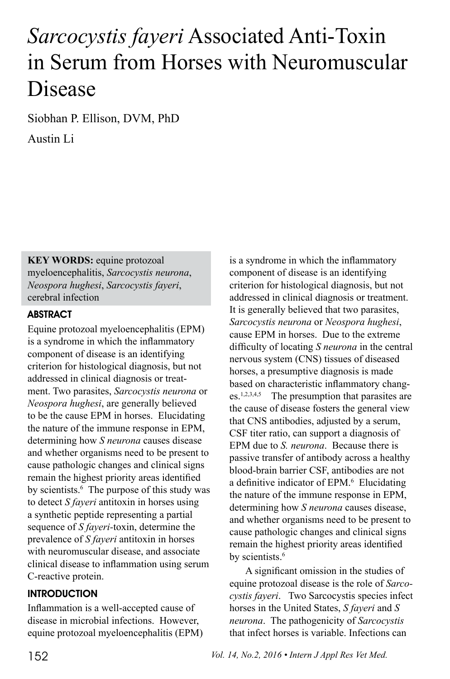# *Sarcocystis fayeri* Associated Anti-Toxin in Serum from Horses with Neuromuscular Disease

Siobhan P. Ellison, DVM, PhD

Austin Li

**KEY WORDS:** equine protozoal myeloencephalitis, *Sarcocystis neurona*, *Neospora hughesi*, *Sarcocystis fayeri*, cerebral infection

# **ABSTRACT**

Equine protozoal myeloencephalitis (EPM) is a syndrome in which the inflammatory component of disease is an identifying criterion for histological diagnosis, but not addressed in clinical diagnosis or treatment. Two parasites, *Sarcocystis neurona* or *Neospora hughesi*, are generally believed to be the cause EPM in horses. Elucidating the nature of the immune response in EPM, determining how *S neurona* causes disease and whether organisms need to be present to cause pathologic changes and clinical signs remain the highest priority areas identified by scientists.<sup>6</sup> The purpose of this study was to detect *S fayeri* antitoxin in horses using a synthetic peptide representing a partial sequence of *S fayeri-*toxin, determine the prevalence of *S fayeri* antitoxin in horses with neuromuscular disease, and associate clinical disease to inflammation using serum C-reactive protein.

## **INTRODUCTION**

Inflammation is a well-accepted cause of disease in microbial infections. However, equine protozoal myeloencephalitis (EPM) is a syndrome in which the inflammatory component of disease is an identifying criterion for histological diagnosis, but not addressed in clinical diagnosis or treatment. It is generally believed that two parasites, *Sarcocystis neurona* or *Neospora hughesi*, cause EPM in horses. Due to the extreme difficulty of locating *S neurona* in the central nervous system (CNS) tissues of diseased horses, a presumptive diagnosis is made based on characteristic inflammatory changes.1,2,3,4,5 The presumption that parasites are the cause of disease fosters the general view that CNS antibodies, adjusted by a serum, CSF titer ratio, can support a diagnosis of EPM due to *S. neurona*. Because there is passive transfer of antibody across a healthy blood-brain barrier CSF, antibodies are not a definitive indicator of EPM.<sup>6</sup> Elucidating the nature of the immune response in EPM, determining how *S neurona* causes disease, and whether organisms need to be present to cause pathologic changes and clinical signs remain the highest priority areas identified by scientists.<sup>6</sup>

A significant omission in the studies of equine protozoal disease is the role of *Sarcocystis fayeri*. Two Sarcocystis species infect horses in the United States, *S fayeri* and *S neurona*. The pathogenicity of *Sarcocystis* that infect horses is variable. Infections can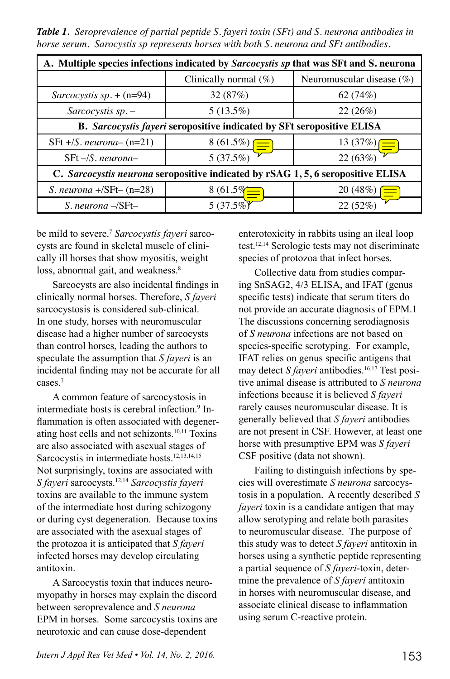*Table 1. Seroprevalence of partial peptide S. fayeri toxin (SFt) and S. neurona antibodies in horse serum. Sarocystis sp represents horses with both S. neurona and SFt antibodies.*

| A. Multiple species infections indicated by Sarcocystis sp that was SFt and S. neurona |                               |                              |  |
|----------------------------------------------------------------------------------------|-------------------------------|------------------------------|--|
|                                                                                        | Clinically normal $(\%)$      | Neuromuscular disease $(\%)$ |  |
| Sarcocystis sp. $+(n=94)$                                                              | 32(87%)                       | 62 (74%)                     |  |
| $Sarcocystis$ sp. $-$                                                                  | $5(13.5\%)$                   | 22 (26%)                     |  |
| B. Sarcocystis fayeri seropositive indicated by SFt seropositive ELISA                 |                               |                              |  |
| SFt $+/S$ . neurona- $(n=21)$                                                          |                               | $\frac{13(37%)}{ }$          |  |
| $SFt - /S$ . neurona-                                                                  | $\frac{8(61.5\%)}{5(37.5\%)}$ | 22(63%)                      |  |
| C. Sarcocystis neurona seropositive indicated by rSAG 1, 5, 6 seropositive ELISA       |                               |                              |  |
| S. neurona $+\sqrt{SF}t-(n=28)$                                                        | $8(61.5\%)$                   | 20 (48%)<br>$\equiv$         |  |
| $S.$ neurona $-\sqrt{S}Ft-$                                                            | 5 $(37.5\%)$                  | 22 (52%)                     |  |

be mild to severe.7 *Sarcocystis fayeri* sarcocysts are found in skeletal muscle of clinically ill horses that show myositis, weight loss, abnormal gait, and weakness.<sup>8</sup>

Sarcocysts are also incidental findings in clinically normal horses. Therefore, *S fayeri*  sarcocystosis is considered sub-clinical. In one study, horses with neuromuscular disease had a higher number of sarcocysts than control horses, leading the authors to speculate the assumption that *S fayeri* is an incidental finding may not be accurate for all cases.7

A common feature of sarcocystosis in intermediate hosts is cerebral infection.<sup>9</sup> Inflammation is often associated with degenerating host cells and not schizonts.10,11 Toxins are also associated with asexual stages of Sarcocystis in intermediate hosts.<sup>12,13,14,15</sup> Not surprisingly, toxins are associated with *S fayeri* sarcocysts.12,14 *Sarcocystis fayeri* toxins are available to the immune system of the intermediate host during schizogony or during cyst degeneration. Because toxins are associated with the asexual stages of the protozoa it is anticipated that *S fayeri*  infected horses may develop circulating antitoxin.

A Sarcocystis toxin that induces neuromyopathy in horses may explain the discord between seroprevalence and *S neurona* EPM in horses. Some sarcocystis toxins are neurotoxic and can cause dose-dependent

enterotoxicity in rabbits using an ileal loop test.12,14 Serologic tests may not discriminate species of protozoa that infect horses.

Collective data from studies comparing SnSAG2, 4/3 ELISA, and IFAT (genus specific tests) indicate that serum titers do not provide an accurate diagnosis of EPM.1 The discussions concerning serodiagnosis of *S neurona* infections are not based on species-specific serotyping. For example, IFAT relies on genus specific antigens that may detect *S faveri* antibodies.<sup>16,17</sup> Test positive animal disease is attributed to *S neurona* infections because it is believed *S fayeri*  rarely causes neuromuscular disease. It is generally believed that *S fayeri* antibodies are not present in CSF. However, at least one horse with presumptive EPM was *S fayeri*  CSF positive (data not shown).

Failing to distinguish infections by species will overestimate *S neurona* sarcocystosis in a population. A recently described *S fayeri* toxin is a candidate antigen that may allow serotyping and relate both parasites to neuromuscular disease. The purpose of this study was to detect *S fayeri* antitoxin in horses using a synthetic peptide representing a partial sequence of *S fayeri*-toxin, determine the prevalence of *S fayeri* antitoxin in horses with neuromuscular disease, and associate clinical disease to inflammation using serum C-reactive protein.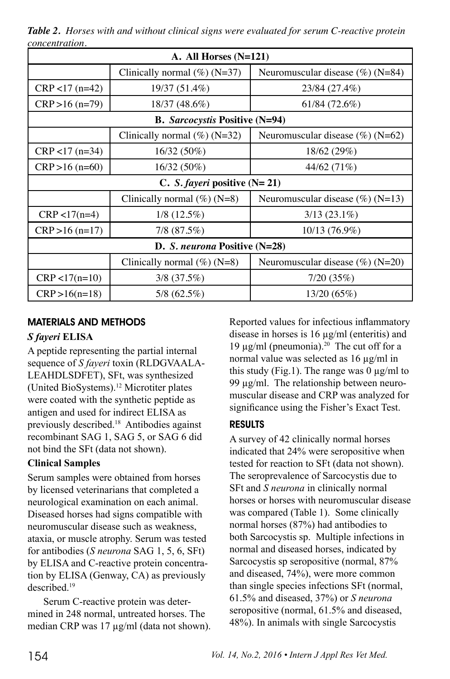| A. All Horses $(N=121)$               |                                 |                                     |  |
|---------------------------------------|---------------------------------|-------------------------------------|--|
|                                       |                                 |                                     |  |
|                                       | Clinically normal $(\%)$ (N=37) | Neuromuscular disease $(\%)$ (N=84) |  |
| $CRP < 17$ (n=42)                     | 19/37 (51.4%)                   | 23/84 (27.4%)                       |  |
| $CRP > 16 (n=79)$                     | 18/37 (48.6%)                   | 61/84 (72.6%)                       |  |
| <b>B.</b> Sarcocystis Positive (N=94) |                                 |                                     |  |
|                                       | Clinically normal $(\%)$ (N=32) | Neuromuscular disease $(\%)(N=62)$  |  |
| $CRP < 17$ (n=34)                     | $16/32(50\%)$                   | 18/62(29%)                          |  |
| $CRP > 16$ (n=60)                     | 16/32 (50%)                     | 44/62 (71%)                         |  |
| C. S. fayeri positive $(N=21)$        |                                 |                                     |  |
|                                       | Clinically normal $(\%)$ (N=8)  | Neuromuscular disease $(\%)(N=13)$  |  |
| $CRP < 17(n=4)$                       | $1/8$ (12.5%)                   | $3/13(23.1\%)$                      |  |
| $CRP > 16(n=17)$                      | $7/8$ (87.5%)                   | 10/13 (76.9%)                       |  |
| D. S. neurona Positive (N=28)         |                                 |                                     |  |
|                                       | Clinically normal $(\%)(N=8)$   | Neuromuscular disease $(\%)(N=20)$  |  |
| $CRP < 17(n=10)$                      | $3/8$ (37.5%)                   | 7/20(35%)                           |  |
| $CRP > 16(n=18)$                      | $5/8$ (62.5%)                   | 13/20(65%)                          |  |

*Table 2. Horses with and without clinical signs were evaluated for serum C-reactive protein concentration.* 

# MATERIALS AND METHODS

### *S fayeri* **ELISA**

A peptide representing the partial internal sequence of *S fayeri* toxin (RLDGVAALA-LEAHDLSDFET), SFt, was synthesized (United BioSystems).12 Microtiter plates were coated with the synthetic peptide as antigen and used for indirect ELISA as previously described.18 Antibodies against recombinant SAG 1, SAG 5, or SAG 6 did not bind the SFt (data not shown).

#### **Clinical Samples**

Serum samples were obtained from horses by licensed veterinarians that completed a neurological examination on each animal. Diseased horses had signs compatible with neuromuscular disease such as weakness, ataxia, or muscle atrophy. Serum was tested for antibodies (*S neurona* SAG 1, 5, 6, SFt) by ELISA and C-reactive protein concentration by ELISA (Genway, CA) as previously described.19

Serum C-reactive protein was determined in 248 normal, untreated horses. The median CRP was 17 µg/ml (data not shown). Reported values for infectious inflammatory disease in horses is 16 µg/ml (enteritis) and 19  $\mu$ g/ml (pneumonia).<sup>20</sup> The cut off for a normal value was selected as 16 µg/ml in this study (Fig.1). The range was  $0 \mu g/ml$  to 99 µg/ml. The relationship between neuromuscular disease and CRP was analyzed for significance using the Fisher's Exact Test.

## RESULTS

A survey of 42 clinically normal horses indicated that 24% were seropositive when tested for reaction to SFt (data not shown). The seroprevalence of Sarcocystis due to SFt and *S neurona* in clinically normal horses or horses with neuromuscular disease was compared (Table 1). Some clinically normal horses (87%) had antibodies to both Sarcocystis sp. Multiple infections in normal and diseased horses, indicated by Sarcocystis sp seropositive (normal, 87% and diseased, 74%), were more common than single species infections SFt (normal, 61.5% and diseased, 37%) or *S neurona* seropositive (normal, 61.5% and diseased, 48%). In animals with single Sarcocystis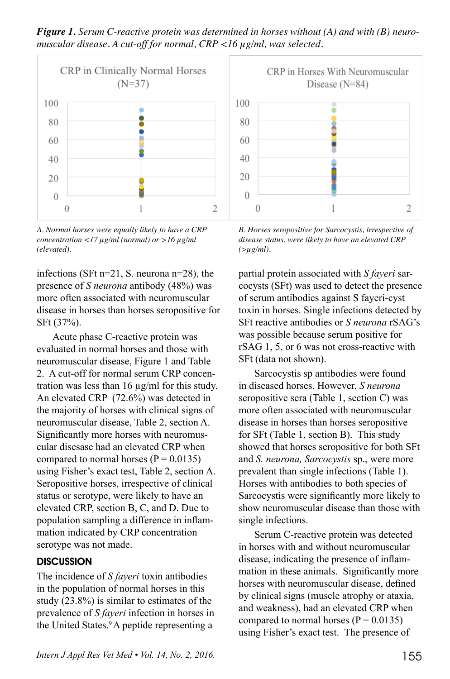*Figure 1. Serum C-reactive protein was determined in horses without (A) and with (B) neuromuscular disease. A cut-off for normal, CRP <16 µg/ml, was selected.*



*A. Normal horses were equally likely to have a CRP concentration <17 µg/ml (normal) or >16 µg/ml (elevated).*

infections (SFt n=21, S. neurona n=28), the presence of *S neurona* antibody (48%) was more often associated with neuromuscular disease in horses than horses seropositive for SFt (37%).

Acute phase C-reactive protein was evaluated in normal horses and those with neuromuscular disease, Figure 1 and Table 2. A cut-off for normal serum CRP concentration was less than 16 µg/ml for this study. An elevated CRP (72.6%) was detected in the majority of horses with clinical signs of neuromuscular disease, Table 2, section A. Significantly more horses with neuromuscular disesase had an elevated CRP when compared to normal horses  $(P = 0.0135)$ using Fisher's exact test, Table 2, section A. Seropositive horses, irrespective of clinical status or serotype, were likely to have an elevated CRP, section B, C, and D. Due to population sampling a difference in inflammation indicated by CRP concentration serotype was not made.

#### **DISCUSSION**

The incidence of *S fayeri* toxin antibodies in the population of normal horses in this study (23.8%) is similar to estimates of the prevalence of *S fayeri* infection in horses in the United States.<sup>9</sup> A peptide representing a



*B. Horses seropositive for Sarcocystis, irrespective of disease status, were likely to have an elevated CRP (>µg/ml).*

partial protein associated with *S fayeri* sarcocysts (SFt) was used to detect the presence of serum antibodies against S fayeri-cyst toxin in horses. Single infections detected by SFt reactive antibodies or *S neurona* rSAG's was possible because serum positive for rSAG 1, 5, or 6 was not cross-reactive with SFt (data not shown).

Sarcocystis sp antibodies were found in diseased horses. However, *S neurona* seropositive sera (Table 1, section C) was more often associated with neuromuscular disease in horses than horses seropositive for SFt (Table 1, section B). This study showed that horses seropositive for both SFt and *S. neurona, Sarcocystis* sp., were more prevalent than single infections (Table 1). Horses with antibodies to both species of Sarcocystis were significantly more likely to show neuromuscular disease than those with single infections.

Serum C-reactive protein was detected in horses with and without neuromuscular disease, indicating the presence of inflammation in these animals. Significantly more horses with neuromuscular disease, defined by clinical signs (muscle atrophy or ataxia, and weakness), had an elevated CRP when compared to normal horses  $(P = 0.0135)$ using Fisher's exact test. The presence of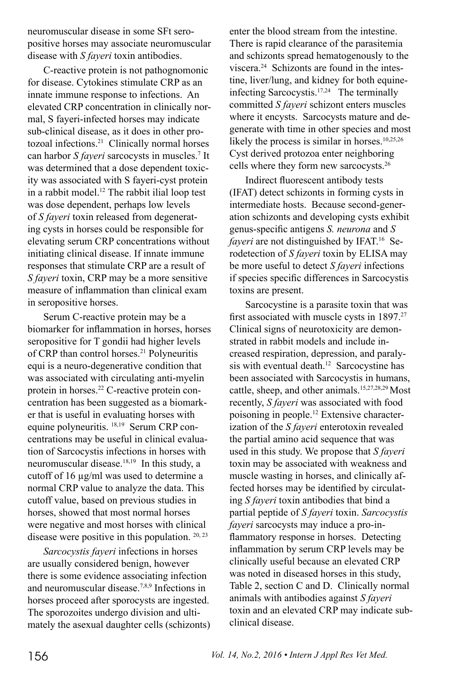neuromuscular disease in some SFt seropositive horses may associate neuromuscular disease with *S fayeri* toxin antibodies.

C-reactive protein is not pathognomonic for disease. Cytokines stimulate CRP as an innate immune response to infections. An elevated CRP concentration in clinically normal, S fayeri-infected horses may indicate sub-clinical disease, as it does in other protozoal infections.21 Clinically normal horses can harbor *S fayeri* sarcocysts in muscles.7 It was determined that a dose dependent toxicity was associated with S fayeri-cyst protein in a rabbit model.12 The rabbit ilial loop test was dose dependent, perhaps low levels of *S fayeri* toxin released from degenerating cysts in horses could be responsible for elevating serum CRP concentrations without initiating clinical disease. If innate immune responses that stimulate CRP are a result of *S fayeri* toxin, CRP may be a more sensitive measure of inflammation than clinical exam in seropositive horses.

Serum C-reactive protein may be a biomarker for inflammation in horses, horses seropositive for T gondii had higher levels of CRP than control horses.<sup>21</sup> Polyneuritis equi is a neuro-degenerative condition that was associated with circulating anti-myelin protein in horses.22 C-reactive protein concentration has been suggested as a biomarker that is useful in evaluating horses with equine polyneuritis. 18,19 Serum CRP concentrations may be useful in clinical evaluation of Sarcocystis infections in horses with neuromuscular disease.18,19 In this study, a cutoff of 16 µg/ml was used to determine a normal CRP value to analyze the data. This cutoff value, based on previous studies in horses, showed that most normal horses were negative and most horses with clinical disease were positive in this population. 20, 23

*Sarcocystis fayeri* infections in horses are usually considered benign, however there is some evidence associating infection and neuromuscular disease.7,8,9 Infections in horses proceed after sporocysts are ingested. The sporozoites undergo division and ultimately the asexual daughter cells (schizonts) enter the blood stream from the intestine. There is rapid clearance of the parasitemia and schizonts spread hematogenously to the viscera.24 Schizonts are found in the intestine, liver/lung, and kidney for both equineinfecting Sarcocystis.17,24 The terminally committed *S fayeri* schizont enters muscles where it encysts. Sarcocysts mature and degenerate with time in other species and most likely the process is similar in horses.<sup>10,25,26</sup> Cyst derived protozoa enter neighboring cells where they form new sarcocysts.26

Indirect fluorescent antibody tests (IFAT) detect schizonts in forming cysts in intermediate hosts. Because second-generation schizonts and developing cysts exhibit genus-specific antigens *S. neurona* and *S fayeri* are not distinguished by IFAT.<sup>16</sup> Serodetection of *S fayeri* toxin by ELISA may be more useful to detect *S fayeri* infections if species specific differences in Sarcocystis toxins are present.

Sarcocystine is a parasite toxin that was first associated with muscle cysts in 1897.<sup>27</sup> Clinical signs of neurotoxicity are demonstrated in rabbit models and include increased respiration, depression, and paralysis with eventual death.<sup>12</sup> Sarcocystine has been associated with Sarcocystis in humans, cattle, sheep, and other animals.<sup>15,27,28,29</sup> Most recently, *S fayeri* was associated with food poisoning in people.12 Extensive characterization of the *S fayeri* enterotoxin revealed the partial amino acid sequence that was used in this study. We propose that *S fayeri*  toxin may be associated with weakness and muscle wasting in horses, and clinically affected horses may be identified by circulating *S fayeri* toxin antibodies that bind a partial peptide of *S fayeri* toxin. *Sarcocystis fayeri* sarcocysts may induce a pro-inflammatory response in horses. Detecting inflammation by serum CRP levels may be clinically useful because an elevated CRP was noted in diseased horses in this study, Table 2, section C and D. Clinically normal animals with antibodies against *S fayeri*  toxin and an elevated CRP may indicate subclinical disease.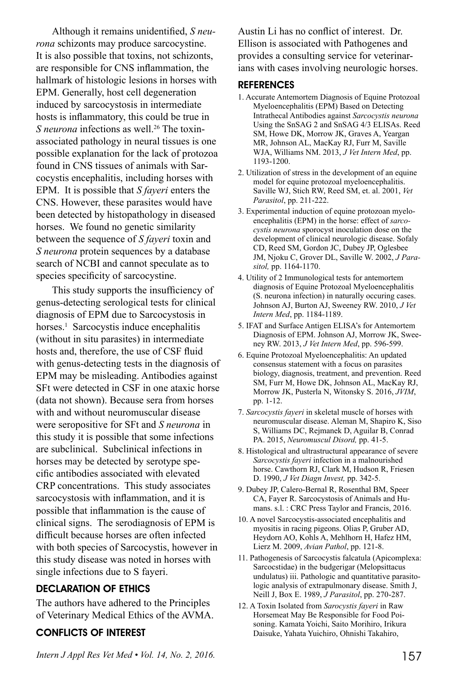Although it remains unidentified, *S neurona* schizonts may produce sarcocystine. It is also possible that toxins, not schizonts, are responsible for CNS inflammation, the hallmark of histologic lesions in horses with EPM. Generally, host cell degeneration induced by sarcocystosis in intermediate hosts is inflammatory, this could be true in *S neurona* infections as well.<sup>26</sup> The toxinassociated pathology in neural tissues is one possible explanation for the lack of protozoa found in CNS tissues of animals with Sarcocystis encephalitis, including horses with EPM. It is possible that *S fayeri* enters the CNS. However, these parasites would have been detected by histopathology in diseased horses. We found no genetic similarity between the sequence of *S fayeri* toxin and *S neurona* protein sequences by a database search of NCBI and cannot speculate as to species specificity of sarcocystine.

This study supports the insufficiency of genus-detecting serological tests for clinical diagnosis of EPM due to Sarcocystosis in horses.<sup>1</sup> Sarcocystis induce encephalitis (without in situ parasites) in intermediate hosts and, therefore, the use of CSF fluid with genus-detecting tests in the diagnosis of EPM may be misleading. Antibodies against SFt were detected in CSF in one ataxic horse (data not shown). Because sera from horses with and without neuromuscular disease were seropositive for SFt and *S neurona* in this study it is possible that some infections are subclinical. Subclinical infections in horses may be detected by serotype specific antibodies associated with elevated CRP concentrations. This study associates sarcocystosis with inflammation, and it is possible that inflammation is the cause of clinical signs. The serodiagnosis of EPM is difficult because horses are often infected with both species of Sarcocystis, however in this study disease was noted in horses with single infections due to S fayeri.

#### DECLARATION OF ETHICS

The authors have adhered to the Principles of Veterinary Medical Ethics of the AVMA.

## CONFLICTS OF INTEREST

Austin Li has no conflict of interest. Dr. Ellison is associated with Pathogenes and provides a consulting service for veterinarians with cases involving neurologic horses.

#### **REFERENCES**

- 1. Accurate Antemortem Diagnosis of Equine Protozoal Myeloencephalitis (EPM) Based on Detecting Intrathecal Antibodies against *Sarcocystis neurona* Using the SnSAG 2 and SnSAG 4/3 ELISAs. Reed SM, Howe DK, Morrow JK, Graves A, Yeargan MR, Johnson AL, MacKay RJ, Furr M, Saville WJA, Williams NM. 2013, *J Vet Intern Med*, pp. 1193-1200.
- 2. Utilization of stress in the development of an equine model for equine protozoal myeloencephalitis. Saville WJ, Stich RW, Reed SM, et. al. 2001, *Vet Parasitol*, pp. 211-222.
- 3. Experimental induction of equine protozoan myeloencephalitis (EPM) in the horse: effect of *sarcocystis neurona* sporocyst inoculation dose on the development of clinical neurologic disease. Sofaly CD, Reed SM, Gordon JC, Dubey JP, Oglesbee JM, Njoku C, Grover DL, Saville W. 2002, *J Parasitol,* pp. 1164-1170.
- 4. Utility of 2 Immunological tests for antemortem diagnosis of Equine Protozoal Myeloencephalitis (S. neurona infection) in naturally occuring cases. Johnson AJ, Burton AJ, Sweeney RW. 2010, *J Vet Intern Med*, pp. 1184-1189.
- 5. IFAT and Surface Antigen ELISA's for Antemortem Diagnosis of EPM. Johnson AJ, Morrow JK, Sweeney RW. 2013, *J Vet Intern Med*, pp. 596-599.
- 6. Equine Protozoal Myeloencephalitis: An updated consensus statement with a focus on parasites biology, diagnosis, treatment, and prevention. Reed SM, Furr M, Howe DK, Johnson AL, MacKay RJ, Morrow JK, Pusterla N, Witonsky S. 2016, *JVIM*, pp. 1-12.
- 7. *Sarcocystis fayeri* in skeletal muscle of horses with neuromuscular disease. Aleman M, Shapiro K, Siso S, Williams DC, Rejmanek D, Aguilar B, Conrad PA. 2015, *Neuromuscul Disord,* pp. 41-5.
- 8. Histological and ultrastructural appearance of severe *Sarcocystis fayeri* infection in a malnourished horse. Cawthorn RJ, Clark M, Hudson R, Friesen D. 1990, *J Vet Diagn Invest,* pp. 342-5.
- 9. Dubey JP, Calero-Bernal R, Rosenthal BM, Speer CA, Fayer R. Sarcocystosis of Animals and Humans. s.l. : CRC Press Taylor and Francis, 2016.
- 10. A novel Sarcocystis-associated encephalitis and myositis in racing pigeons. Olias P, Gruber AD, Heydorn AO, Kohls A, Mehlhorn H, Hafez HM, Lierz M. 2009, *Avian Pathol*, pp. 121-8.
- 11. Pathogenesis of Sarcocystis falcatula (Apicomplexa: Sarcocstidae) in the budgerigar (Melopsittacus undulatus) iii. Pathologic and quantitative parasitologic analysis of extrapulmonary disease. Smith J, Neill J, Box E. 1989, *J Parasitol*, pp. 270-287.
- 12. A Toxin Isolated from *Sarocystis fayeri* in Raw Horsemeat May Be Responsible for Food Poisoning. Kamata Yoichi, Saito Morihiro, Irikura Daisuke, Yahata Yuichiro, Ohnishi Takahiro,